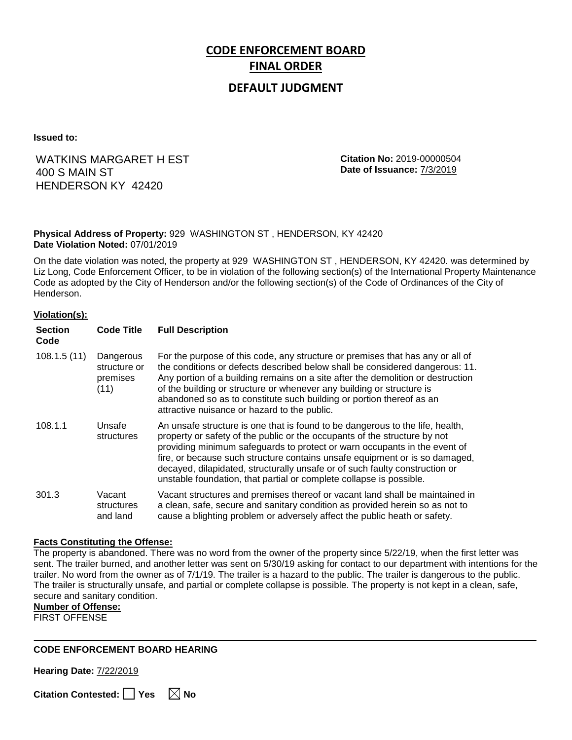# **CODE ENFORCEMENT BOARD FINAL ORDER**

### **DEFAULT JUDGMENT**

**Issued to:**

## WATKINS MARGARET H EST 400 S MAIN ST HENDERSON KY 42420

**Citation No:** 2019-00000504 **Date of Issuance:** 7/3/2019

#### **Physical Address of Property:** 929 WASHINGTON ST , HENDERSON, KY 42420 **Date Violation Noted:** 07/01/2019

On the date violation was noted, the property at 929 WASHINGTON ST , HENDERSON, KY 42420. was determined by Liz Long, Code Enforcement Officer, to be in violation of the following section(s) of the International Property Maintenance Code as adopted by the City of Henderson and/or the following section(s) of the Code of Ordinances of the City of Henderson.

#### **Violation(s):**

| <b>Section</b><br>Code | <b>Code Title</b>                             | <b>Full Description</b>                                                                                                                                                                                                                                                                                                                                                                                                                                                      |
|------------------------|-----------------------------------------------|------------------------------------------------------------------------------------------------------------------------------------------------------------------------------------------------------------------------------------------------------------------------------------------------------------------------------------------------------------------------------------------------------------------------------------------------------------------------------|
| 108.1.5(11)            | Dangerous<br>structure or<br>premises<br>(11) | For the purpose of this code, any structure or premises that has any or all of<br>the conditions or defects described below shall be considered dangerous: 11.<br>Any portion of a building remains on a site after the demolition or destruction<br>of the building or structure or whenever any building or structure is<br>abandoned so as to constitute such building or portion thereof as an<br>attractive nuisance or hazard to the public.                           |
| 108.1.1                | Unsafe<br>structures                          | An unsafe structure is one that is found to be dangerous to the life, health,<br>property or safety of the public or the occupants of the structure by not<br>providing minimum safeguards to protect or warn occupants in the event of<br>fire, or because such structure contains unsafe equipment or is so damaged,<br>decayed, dilapidated, structurally unsafe or of such faulty construction or<br>unstable foundation, that partial or complete collapse is possible. |
| 301.3                  | Vacant<br>structures<br>and land              | Vacant structures and premises thereof or vacant land shall be maintained in<br>a clean, safe, secure and sanitary condition as provided herein so as not to<br>cause a blighting problem or adversely affect the public heath or safety.                                                                                                                                                                                                                                    |

#### **Facts Constituting the Offense:**

The property is abandoned. There was no word from the owner of the property since 5/22/19, when the first letter was sent. The trailer burned, and another letter was sent on 5/30/19 asking for contact to our department with intentions for the trailer. No word from the owner as of 7/1/19. The trailer is a hazard to the public. The trailer is dangerous to the public. The trailer is structurally unsafe, and partial or complete collapse is possible. The property is not kept in a clean, safe, secure and sanitary condition.

**Number of Offense:**

FIRST OFFENSE

#### **CODE ENFORCEMENT BOARD HEARING**

**Hearing Date:** 7/22/2019

**Citation Contested:** ■ Yes  $\ \ \mathbb{\times}$  No